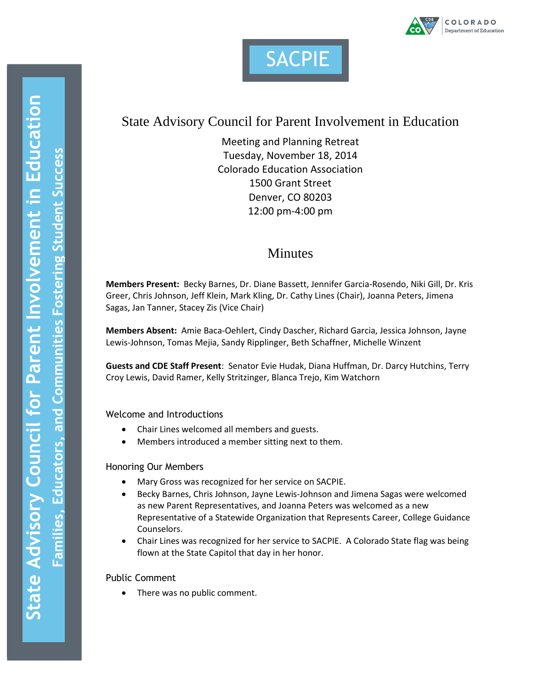



# State Advisory Council for Parent Involvement in Education

Meeting and Planning Retreat Tuesday, November 18, 2014 Colorado Education Association 1500 Grant Street Denver, CO 80203 12:00 pm-4:00 pm

## **Minutes**

**Members Present:** Becky Barnes, Dr. Diane Bassett, Jennifer Garcia-Rosendo, Niki Gill, Dr. Kris Greer, Chris Johnson, Jeff Klein, Mark Kling, Dr. Cathy Lines (Chair), Joanna Peters, Jimena Sagas, Jan Tanner, Stacey Zis (Vice Chair)

**Members Absent:** Amie Baca-Oehlert, Cindy Dascher, Richard Garcia, Jessica Johnson, Jayne Lewis-Johnson, Tomas Mejia, Sandy Ripplinger, Beth Schaffner, Michelle Winzent

**Guests and CDE Staff Present**: Senator Evie Hudak, Diana Huffman, Dr. Darcy Hutchins, Terry Croy Lewis, David Ramer, Kelly Stritzinger, Blanca Trejo, Kim Watchorn

Welcome and Introductions

- Chair Lines welcomed all members and guests.
- Members introduced a member sitting next to them.

## Honoring Our Members

- Mary Gross was recognized for her service on SACPIE.
- Becky Barnes, Chris Johnson, Jayne Lewis-Johnson and Jimena Sagas were welcomed as new Parent Representatives, and Joanna Peters was welcomed as a new Representative of a Statewide Organization that Represents Career, College Guidance Counselors.
- Chair Lines was recognized for her service to SACPIE. A Colorado State flag was being flown at the State Capitol that day in her honor.

## Public Comment

• There was no public comment.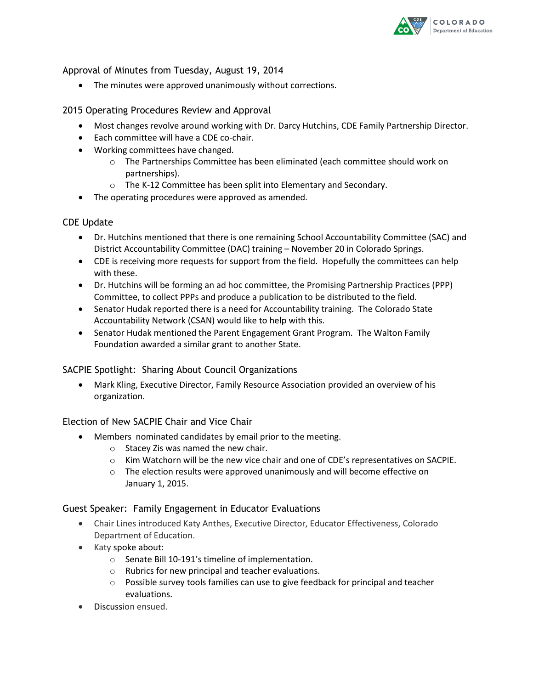

Approval of Minutes from Tuesday, August 19, 2014

The minutes were approved unanimously without corrections.

#### 2015 Operating Procedures Review and Approval

- Most changes revolve around working with Dr. Darcy Hutchins, CDE Family Partnership Director.
- Each committee will have a CDE co-chair.
- Working committees have changed.
	- o The Partnerships Committee has been eliminated (each committee should work on partnerships).
	- o The K-12 Committee has been split into Elementary and Secondary.
- The operating procedures were approved as amended.

#### CDE Update

- Dr. Hutchins mentioned that there is one remaining School Accountability Committee (SAC) and District Accountability Committee (DAC) training – November 20 in Colorado Springs.
- CDE is receiving more requests for support from the field. Hopefully the committees can help with these.
- Dr. Hutchins will be forming an ad hoc committee, the Promising Partnership Practices (PPP) Committee, to collect PPPs and produce a publication to be distributed to the field.
- Senator Hudak reported there is a need for Accountability training. The Colorado State Accountability Network (CSAN) would like to help with this.
- Senator Hudak mentioned the Parent Engagement Grant Program. The Walton Family Foundation awarded a similar grant to another State.

## SACPIE Spotlight: Sharing About Council Organizations

 Mark Kling, Executive Director, Family Resource Association provided an overview of his organization.

#### Election of New SACPIE Chair and Vice Chair

- Members nominated candidates by email prior to the meeting.
	- o Stacey Zis was named the new chair.
	- $\circ$  Kim Watchorn will be the new vice chair and one of CDE's representatives on SACPIE.
	- o The election results were approved unanimously and will become effective on January 1, 2015.

#### Guest Speaker: Family Engagement in Educator Evaluations

- Chair Lines introduced Katy Anthes, Executive Director, Educator Effectiveness, Colorado Department of Education.
- Katy spoke about:
	- o Senate Bill 10-191's timeline of implementation.
	- o Rubrics for new principal and teacher evaluations.
	- o Possible survey tools families can use to give feedback for principal and teacher evaluations.
- Discussion ensued.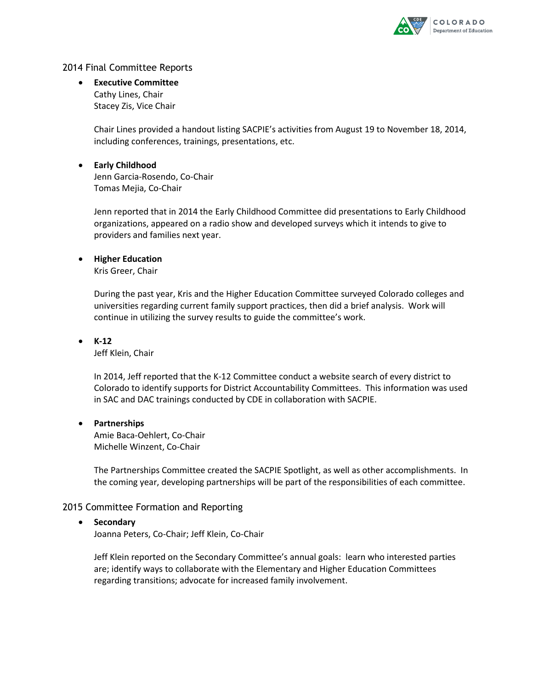

#### 2014 Final Committee Reports

 **Executive Committee** Cathy Lines, Chair Stacey Zis, Vice Chair

> Chair Lines provided a handout listing SACPIE's activities from August 19 to November 18, 2014, including conferences, trainings, presentations, etc.

#### **Early Childhood** Jenn Garcia-Rosendo, Co-Chair Tomas Mejia, Co-Chair

Jenn reported that in 2014 the Early Childhood Committee did presentations to Early Childhood organizations, appeared on a radio show and developed surveys which it intends to give to providers and families next year.

#### **Higher Education**

Kris Greer, Chair

During the past year, Kris and the Higher Education Committee surveyed Colorado colleges and universities regarding current family support practices, then did a brief analysis. Work will continue in utilizing the survey results to guide the committee's work.

**K-12**

Jeff Klein, Chair

In 2014, Jeff reported that the K-12 Committee conduct a website search of every district to Colorado to identify supports for District Accountability Committees. This information was used in SAC and DAC trainings conducted by CDE in collaboration with SACPIE.

#### **Partnerships**

Amie Baca-Oehlert, Co-Chair Michelle Winzent, Co-Chair

The Partnerships Committee created the SACPIE Spotlight, as well as other accomplishments. In the coming year, developing partnerships will be part of the responsibilities of each committee.

#### 2015 Committee Formation and Reporting

#### **•** Secondary

Joanna Peters, Co-Chair; Jeff Klein, Co-Chair

Jeff Klein reported on the Secondary Committee's annual goals: learn who interested parties are; identify ways to collaborate with the Elementary and Higher Education Committees regarding transitions; advocate for increased family involvement.